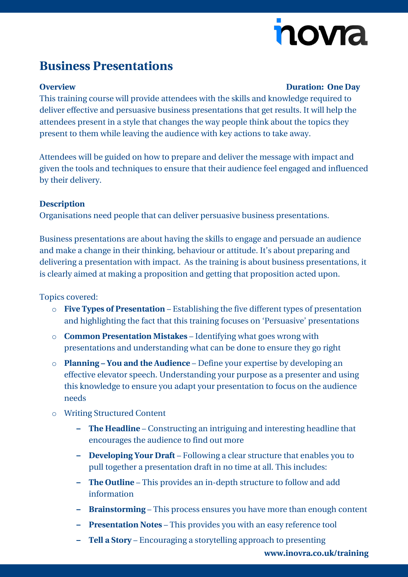# novia

## **Business Presentations**

#### **Overview Duration: One Day**

This training course will provide attendees with the skills and knowledge required to deliver effective and persuasive business presentations that get results. It will help the attendees present in a style that changes the way people think about the topics they present to them while leaving the audience with key actions to take away.

Attendees will be guided on how to prepare and deliver the message with impact and given the tools and techniques to ensure that their audience feel engaged and influenced by their delivery.

### **Description**

Organisations need people that can deliver persuasive business presentations.

Business presentations are about having the skills to engage and persuade an audience and make a change in their thinking, behaviour or attitude. It's about preparing and delivering a presentation with impact. As the training is about business presentations, it is clearly aimed at making a proposition and getting that proposition acted upon.

### Topics covered:

- o **Five Types of Presentation** Establishing the five different types of presentation and highlighting the fact that this training focuses on 'Persuasive' presentations
- o **Common Presentation Mistakes** Identifying what goes wrong with presentations and understanding what can be done to ensure they go right
- o **Planning – You and the Audience** Define your expertise by developing an effective elevator speech. Understanding your purpose as a presenter and using this knowledge to ensure you adapt your presentation to focus on the audience needs
- o Writing Structured Content
	- **– The Headline** Constructing an intriguing and interesting headline that encourages the audience to find out more
	- **– Developing Your Draft** Following a clear structure that enables you to pull together a presentation draft in no time at all. This includes:
	- **– The Outline** This provides an in-depth structure to follow and add information
	- **– Brainstorming** This process ensures you have more than enough content
	- **– Presentation Notes** This provides you with an easy reference tool
	- **– Tell a Story** Encouraging a storytelling approach to presenting

**[www.inovra.co.uk/training](http://www.inovra.co.uk/training)**